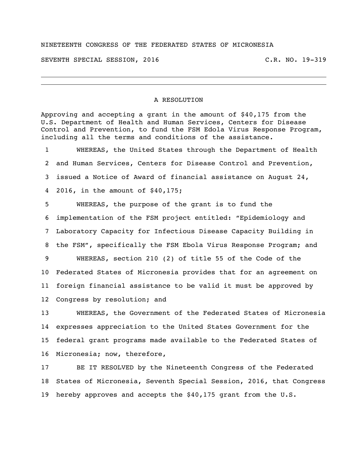## NINETEENTH CONGRESS OF THE FEDERATED STATES OF MICRONESIA

SEVENTH SPECIAL SESSION, 2016 C.R. NO. 19-319

## A RESOLUTION

Approving and accepting a grant in the amount of \$40,175 from the U.S. Department of Health and Human Services, Centers for Disease Control and Prevention, to fund the FSM Edola Virus Response Program, including all the terms and conditions of the assistance.

 WHEREAS, the United States through the Department of Health and Human Services, Centers for Disease Control and Prevention, issued a Notice of Award of financial assistance on August 24, 2016, in the amount of \$40,175;

 WHEREAS, the purpose of the grant is to fund the implementation of the FSM project entitled: "Epidemiology and Laboratory Capacity for Infectious Disease Capacity Building in the FSM", specifically the FSM Ebola Virus Response Program; and WHEREAS, section 210 (2) of title 55 of the Code of the Federated States of Micronesia provides that for an agreement on foreign financial assistance to be valid it must be approved by Congress by resolution; and

 WHEREAS, the Government of the Federated States of Micronesia expresses appreciation to the United States Government for the federal grant programs made available to the Federated States of Micronesia; now, therefore,

 BE IT RESOLVED by the Nineteenth Congress of the Federated States of Micronesia, Seventh Special Session, 2016, that Congress hereby approves and accepts the \$40,175 grant from the U.S.